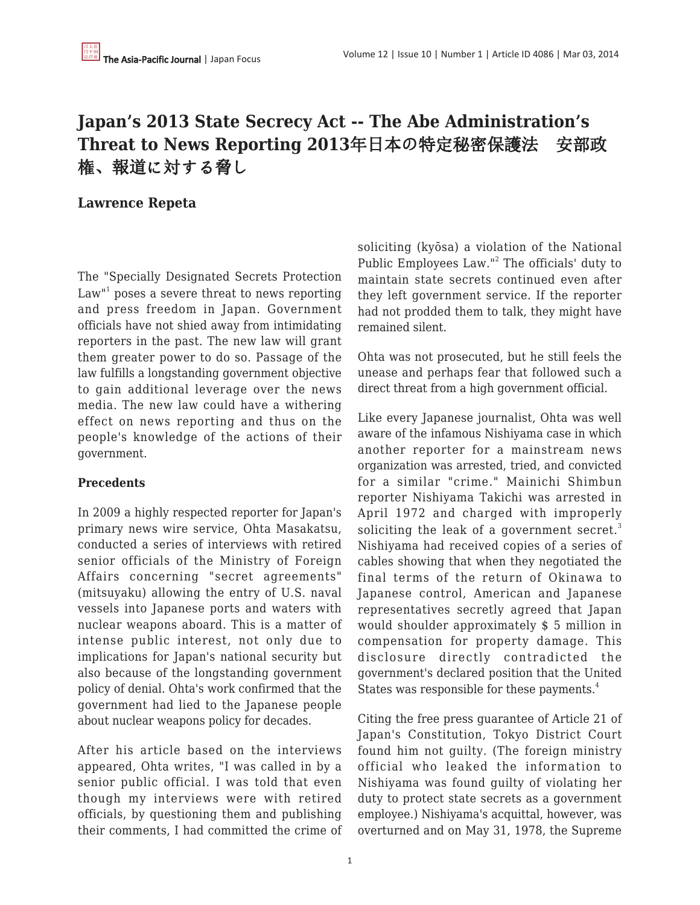# **Japan's 2013 State Secrecy Act -- The Abe Administration's Threat to News Reporting 2013**年日本の特定秘密保護法 安部政 権、報道に対する脅し

## **Lawrence Repeta**

The "Specially Designated Secrets Protection Law" $1$  poses a severe threat to news reporting and press freedom in Japan. Government officials have not shied away from intimidating reporters in the past. The new law will grant them greater power to do so. Passage of the law fulfills a longstanding government objective to gain additional leverage over the news media. The new law could have a withering effect on news reporting and thus on the people's knowledge of the actions of their government.

## **Precedents**

In 2009 a highly respected reporter for Japan's primary news wire service, Ohta Masakatsu, conducted a series of interviews with retired senior officials of the Ministry of Foreign Affairs concerning "secret agreements" (mitsuyaku) allowing the entry of U.S. naval vessels into Japanese ports and waters with nuclear weapons aboard. This is a matter of intense public interest, not only due to implications for Japan's national security but also because of the longstanding government policy of denial. Ohta's work confirmed that the government had lied to the Japanese people about nuclear weapons policy for decades.

After his article based on the interviews appeared, Ohta writes, "I was called in by a senior public official. I was told that even though my interviews were with retired officials, by questioning them and publishing their comments, I had committed the crime of soliciting (kyōsa) a violation of the National Public Employees Law."<sup>2</sup> The officials' duty to maintain state secrets continued even after they left government service. If the reporter had not prodded them to talk, they might have remained silent.

Ohta was not prosecuted, but he still feels the unease and perhaps fear that followed such a direct threat from a high government official.

Like every Japanese journalist, Ohta was well aware of the infamous Nishiyama case in which another reporter for a mainstream news organization was arrested, tried, and convicted for a similar "crime." Mainichi Shimbun reporter Nishiyama Takichi was arrested in April 1972 and charged with improperly soliciting the leak of a government secret. $3$ Nishiyama had received copies of a series of cables showing that when they negotiated the final terms of the return of Okinawa to Japanese control, American and Japanese representatives secretly agreed that Japan would shoulder approximately \$ 5 million in compensation for property damage. This disclosure directly contradicted the government's declared position that the United States was responsible for these payments.<sup>4</sup>

Citing the free press guarantee of Article 21 of Japan's Constitution, Tokyo District Court found him not guilty. (The foreign ministry official who leaked the information to Nishiyama was found guilty of violating her duty to protect state secrets as a government employee.) Nishiyama's acquittal, however, was overturned and on May 31, 1978, the Supreme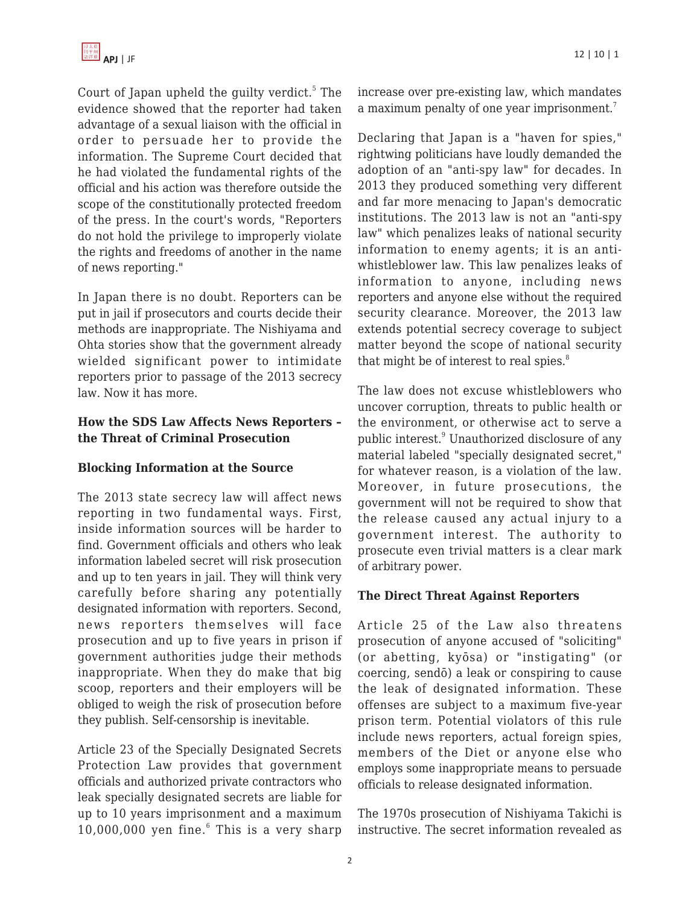

Court of Japan upheld the guilty verdict.<sup>5</sup> The evidence showed that the reporter had taken advantage of a sexual liaison with the official in order to persuade her to provide the information. The Supreme Court decided that he had violated the fundamental rights of the official and his action was therefore outside the scope of the constitutionally protected freedom of the press. In the court's words, "Reporters do not hold the privilege to improperly violate the rights and freedoms of another in the name of news reporting."

In Japan there is no doubt. Reporters can be put in jail if prosecutors and courts decide their methods are inappropriate. The Nishiyama and Ohta stories show that the government already wielded significant power to intimidate reporters prior to passage of the 2013 secrecy law. Now it has more.

#### **How the SDS Law Affects News Reporters – the Threat of Criminal Prosecution**

## **Blocking Information at the Source**

The 2013 state secrecy law will affect news reporting in two fundamental ways. First, inside information sources will be harder to find. Government officials and others who leak information labeled secret will risk prosecution and up to ten years in jail. They will think very carefully before sharing any potentially designated information with reporters. Second, news reporters themselves will face prosecution and up to five years in prison if government authorities judge their methods inappropriate. When they do make that big scoop, reporters and their employers will be obliged to weigh the risk of prosecution before they publish. Self-censorship is inevitable.

Article 23 of the Specially Designated Secrets Protection Law provides that government officials and authorized private contractors who leak specially designated secrets are liable for up to 10 years imprisonment and a maximum  $10,000,000$  yen fine. $6$  This is a very sharp

increase over pre-existing law, which mandates a maximum penalty of one year imprisonment.<sup>7</sup>

Declaring that Japan is a "haven for spies," rightwing politicians have loudly demanded the adoption of an "anti-spy law" for decades. In 2013 they produced something very different and far more menacing to Japan's democratic institutions. The 2013 law is not an "anti-spy law" which penalizes leaks of national security information to enemy agents; it is an antiwhistleblower law. This law penalizes leaks of information to anyone, including news reporters and anyone else without the required security clearance. Moreover, the 2013 law extends potential secrecy coverage to subject matter beyond the scope of national security that might be of interest to real spies.<sup>8</sup>

The law does not excuse whistleblowers who uncover corruption, threats to public health or the environment, or otherwise act to serve a public interest.<sup>9</sup> Unauthorized disclosure of any material labeled "specially designated secret," for whatever reason, is a violation of the law. Moreover, in future prosecutions, the government will not be required to show that the release caused any actual injury to a government interest. The authority to prosecute even trivial matters is a clear mark of arbitrary power.

#### **The Direct Threat Against Reporters**

Article 25 of the Law also threatens prosecution of anyone accused of "soliciting" (or abetting, kyōsa) or "instigating" (or coercing, sendō) a leak or conspiring to cause the leak of designated information. These offenses are subject to a maximum five-year prison term. Potential violators of this rule include news reporters, actual foreign spies, members of the Diet or anyone else who employs some inappropriate means to persuade officials to release designated information.

The 1970s prosecution of Nishiyama Takichi is instructive. The secret information revealed as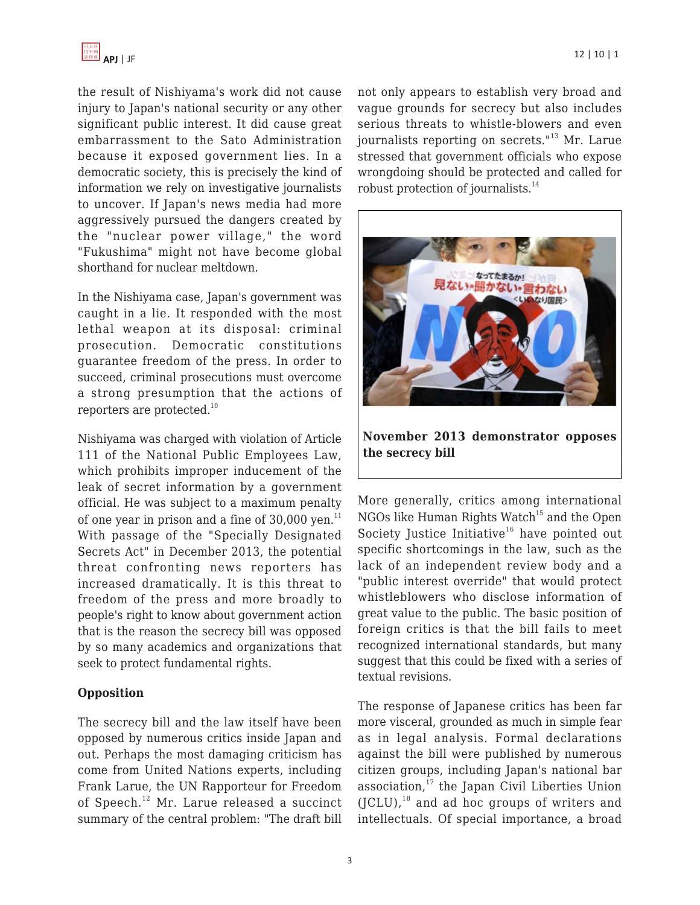

the result of Nishiyama's work did not cause injury to Japan's national security or any other significant public interest. It did cause great embarrassment to the Sato Administration because it exposed government lies. In a democratic society, this is precisely the kind of information we rely on investigative journalists to uncover. If Japan's news media had more aggressively pursued the dangers created by the "nuclear power village," the word "Fukushima" might not have become global shorthand for nuclear meltdown.

In the Nishiyama case, Japan's government was caught in a lie. It responded with the most lethal weapon at its disposal: criminal prosecution. Democratic constitutions guarantee freedom of the press. In order to succeed, criminal prosecutions must overcome a strong presumption that the actions of reporters are protected.<sup>10</sup>

Nishiyama was charged with violation of Article 111 of the National Public Employees Law, which prohibits improper inducement of the leak of secret information by a government official. He was subject to a maximum penalty of one year in prison and a fine of  $30,000$  yen.<sup>11</sup> With passage of the "Specially Designated Secrets Act" in December 2013, the potential threat confronting news reporters has increased dramatically. It is this threat to freedom of the press and more broadly to people's right to know about government action that is the reason the secrecy bill was opposed by so many academics and organizations that seek to protect fundamental rights.

#### **Opposition**

The secrecy bill and the law itself have been opposed by numerous critics inside Japan and out. Perhaps the most damaging criticism has come from United Nations experts, including Frank Larue, the UN Rapporteur for Freedom of Speech.<sup>12</sup> Mr. Larue released a succinct summary of the central problem: "The draft bill not only appears to establish very broad and vague grounds for secrecy but also includes serious threats to whistle-blowers and even journalists reporting on secrets."<sup>13</sup> Mr. Larue stressed that government officials who expose wrongdoing should be protected and called for robust protection of journalists.<sup>14</sup>



**November 2013 demonstrator opposes the secrecy bill**

More generally, critics among international NGOs like Human Rights Watch<sup>15</sup> and the Open Society Justice Initiative<sup>16</sup> have pointed out specific shortcomings in the law, such as the lack of an independent review body and a "public interest override" that would protect whistleblowers who disclose information of great value to the public. The basic position of foreign critics is that the bill fails to meet recognized international standards, but many suggest that this could be fixed with a series of textual revisions.

The response of Japanese critics has been far more visceral, grounded as much in simple fear as in legal analysis. Formal declarations against the bill were published by numerous citizen groups, including Japan's national bar association, $17$  the Japan Civil Liberties Union  $(JCLU)$ ,<sup>18</sup> and ad hoc groups of writers and intellectuals. Of special importance, a broad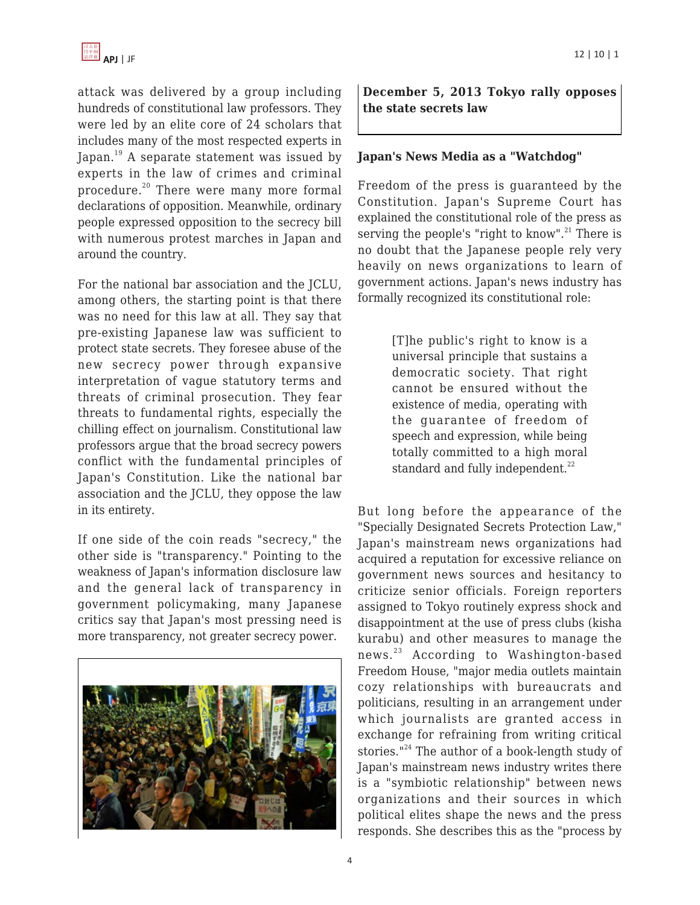attack was delivered by a group including hundreds of constitutional law professors. They were led by an elite core of 24 scholars that includes many of the most respected experts in Japan.<sup>19</sup> A separate statement was issued by experts in the law of crimes and criminal procedure.<sup>20</sup> There were many more formal declarations of opposition. Meanwhile, ordinary people expressed opposition to the secrecy bill with numerous protest marches in Japan and around the country.

For the national bar association and the JCLU, among others, the starting point is that there was no need for this law at all. They say that pre-existing Japanese law was sufficient to protect state secrets. They foresee abuse of the new secrecy power through expansive interpretation of vague statutory terms and threats of criminal prosecution. They fear threats to fundamental rights, especially the chilling effect on journalism. Constitutional law professors argue that the broad secrecy powers conflict with the fundamental principles of Japan's Constitution. Like the national bar association and the JCLU, they oppose the law in its entirety.

If one side of the coin reads "secrecy," the other side is "transparency." Pointing to the weakness of Japan's information disclosure law and the general lack of transparency in government policymaking, many Japanese critics say that Japan's most pressing need is more transparency, not greater secrecy power.



**December 5, 2013 Tokyo rally opposes the state secrets law**

#### **Japan's News Media as a "Watchdog"**

Freedom of the press is guaranteed by the Constitution. Japan's Supreme Court has explained the constitutional role of the press as serving the people's "right to know".<sup>21</sup> There is no doubt that the Japanese people rely very heavily on news organizations to learn of government actions. Japan's news industry has formally recognized its constitutional role:

> [T]he public's right to know is a universal principle that sustains a democratic society. That right cannot be ensured without the existence of media, operating with the guarantee of freedom of speech and expression, while being totally committed to a high moral standard and fully independent.<sup>22</sup>

But long before the appearance of the "Specially Designated Secrets Protection Law," Japan's mainstream news organizations had acquired a reputation for excessive reliance on government news sources and hesitancy to criticize senior officials. Foreign reporters assigned to Tokyo routinely express shock and disappointment at the use of press clubs (kisha kurabu) and other measures to manage the news.<sup>23</sup> According to Washington-based Freedom House, "major media outlets maintain cozy relationships with bureaucrats and politicians, resulting in an arrangement under which journalists are granted access in exchange for refraining from writing critical stories."<sup>24</sup> The author of a book-length study of Japan's mainstream news industry writes there is a "symbiotic relationship" between news organizations and their sources in which political elites shape the news and the press responds. She describes this as the "process by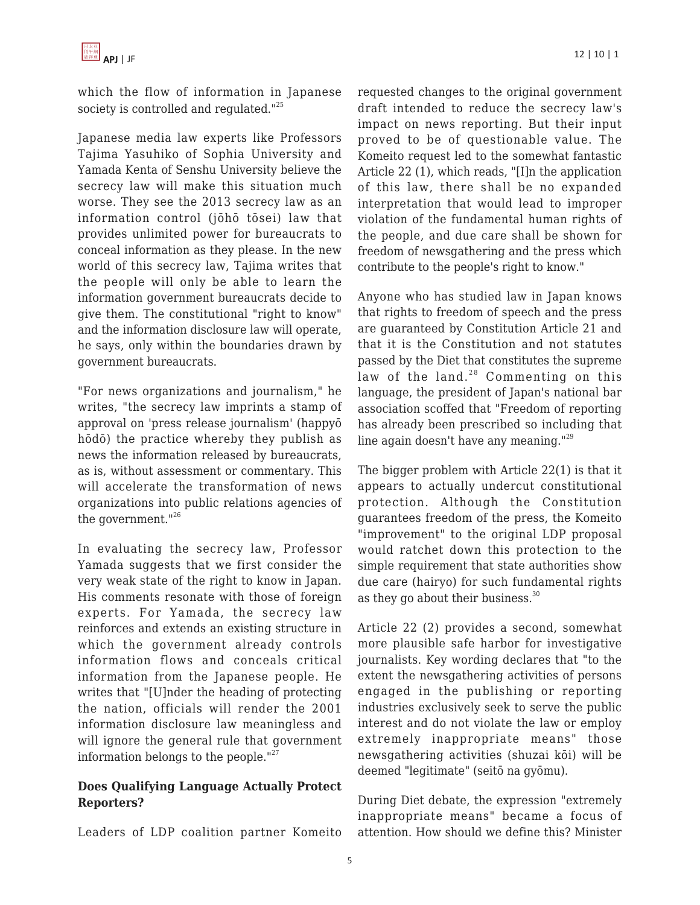

which the flow of information in Japanese society is controlled and regulated."<sup>25</sup>

Japanese media law experts like Professors Tajima Yasuhiko of Sophia University and Yamada Kenta of Senshu University believe the secrecy law will make this situation much worse. They see the 2013 secrecy law as an information control (jōhō tōsei) law that provides unlimited power for bureaucrats to conceal information as they please. In the new world of this secrecy law, Tajima writes that the people will only be able to learn the information government bureaucrats decide to give them. The constitutional "right to know" and the information disclosure law will operate, he says, only within the boundaries drawn by government bureaucrats.

"For news organizations and journalism," he writes, "the secrecy law imprints a stamp of approval on 'press release journalism' (happyō hōdō) the practice whereby they publish as news the information released by bureaucrats, as is, without assessment or commentary. This will accelerate the transformation of news organizations into public relations agencies of the government."<sup>26</sup>

In evaluating the secrecy law, Professor Yamada suggests that we first consider the very weak state of the right to know in Japan. His comments resonate with those of foreign experts. For Yamada, the secrecy law reinforces and extends an existing structure in which the government already controls information flows and conceals critical information from the Japanese people. He writes that "[U]nder the heading of protecting the nation, officials will render the 2001 information disclosure law meaningless and will ignore the general rule that government information belongs to the people."<sup>27</sup>

## **Does Qualifying Language Actually Protect Reporters?**

Leaders of LDP coalition partner Komeito

requested changes to the original government draft intended to reduce the secrecy law's impact on news reporting. But their input proved to be of questionable value. The Komeito request led to the somewhat fantastic Article 22 (1), which reads, "[I]n the application of this law, there shall be no expanded interpretation that would lead to improper violation of the fundamental human rights of the people, and due care shall be shown for freedom of newsgathering and the press which contribute to the people's right to know."

Anyone who has studied law in Japan knows that rights to freedom of speech and the press are guaranteed by Constitution Article 21 and that it is the Constitution and not statutes passed by the Diet that constitutes the supreme law of the land. $28$  Commenting on this language, the president of Japan's national bar association scoffed that "Freedom of reporting has already been prescribed so including that line again doesn't have any meaning."<sup>29</sup>

The bigger problem with Article 22(1) is that it appears to actually undercut constitutional protection. Although the Constitution guarantees freedom of the press, the Komeito "improvement" to the original LDP proposal would ratchet down this protection to the simple requirement that state authorities show due care (hairyo) for such fundamental rights as they go about their business.<sup>30</sup>

Article 22 (2) provides a second, somewhat more plausible safe harbor for investigative journalists. Key wording declares that "to the extent the newsgathering activities of persons engaged in the publishing or reporting industries exclusively seek to serve the public interest and do not violate the law or employ extremely inappropriate means" those newsgathering activities (shuzai kōi) will be deemed "legitimate" (seitō na gyōmu).

During Diet debate, the expression "extremely inappropriate means" became a focus of attention. How should we define this? Minister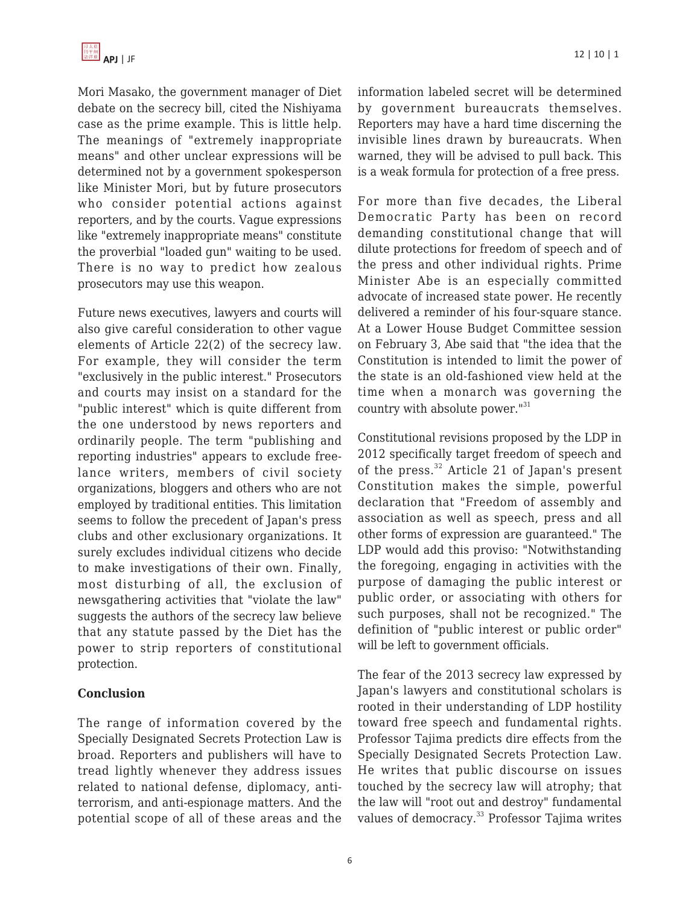Mori Masako, the government manager of Diet debate on the secrecy bill, cited the Nishiyama case as the prime example. This is little help. The meanings of "extremely inappropriate means" and other unclear expressions will be determined not by a government spokesperson like Minister Mori, but by future prosecutors who consider potential actions against reporters, and by the courts. Vague expressions like "extremely inappropriate means" constitute the proverbial "loaded gun" waiting to be used. There is no way to predict how zealous prosecutors may use this weapon.

Future news executives, lawyers and courts will also give careful consideration to other vague elements of Article 22(2) of the secrecy law. For example, they will consider the term "exclusively in the public interest." Prosecutors and courts may insist on a standard for the "public interest" which is quite different from the one understood by news reporters and ordinarily people. The term "publishing and reporting industries" appears to exclude freelance writers, members of civil society organizations, bloggers and others who are not employed by traditional entities. This limitation seems to follow the precedent of Japan's press clubs and other exclusionary organizations. It surely excludes individual citizens who decide to make investigations of their own. Finally, most disturbing of all, the exclusion of newsgathering activities that "violate the law" suggests the authors of the secrecy law believe that any statute passed by the Diet has the power to strip reporters of constitutional protection.

## **Conclusion**

The range of information covered by the Specially Designated Secrets Protection Law is broad. Reporters and publishers will have to tread lightly whenever they address issues related to national defense, diplomacy, antiterrorism, and anti-espionage matters. And the potential scope of all of these areas and the

information labeled secret will be determined by government bureaucrats themselves. Reporters may have a hard time discerning the invisible lines drawn by bureaucrats. When warned, they will be advised to pull back. This is a weak formula for protection of a free press.

For more than five decades, the Liberal Democratic Party has been on record demanding constitutional change that will dilute protections for freedom of speech and of the press and other individual rights. Prime Minister Abe is an especially committed advocate of increased state power. He recently delivered a reminder of his four-square stance. At a Lower House Budget Committee session on February 3, Abe said that "the idea that the Constitution is intended to limit the power of the state is an old-fashioned view held at the time when a monarch was governing the country with absolute power."<sup>31</sup>

Constitutional revisions proposed by the LDP in 2012 specifically target freedom of speech and of the press.<sup>32</sup> Article 21 of Japan's present Constitution makes the simple, powerful declaration that "Freedom of assembly and association as well as speech, press and all other forms of expression are guaranteed." The LDP would add this proviso: "Notwithstanding the foregoing, engaging in activities with the purpose of damaging the public interest or public order, or associating with others for such purposes, shall not be recognized." The definition of "public interest or public order" will be left to government officials.

The fear of the 2013 secrecy law expressed by Japan's lawyers and constitutional scholars is rooted in their understanding of LDP hostility toward free speech and fundamental rights. Professor Tajima predicts dire effects from the Specially Designated Secrets Protection Law. He writes that public discourse on issues touched by the secrecy law will atrophy; that the law will "root out and destroy" fundamental values of democracy.<sup>33</sup> Professor Tajima writes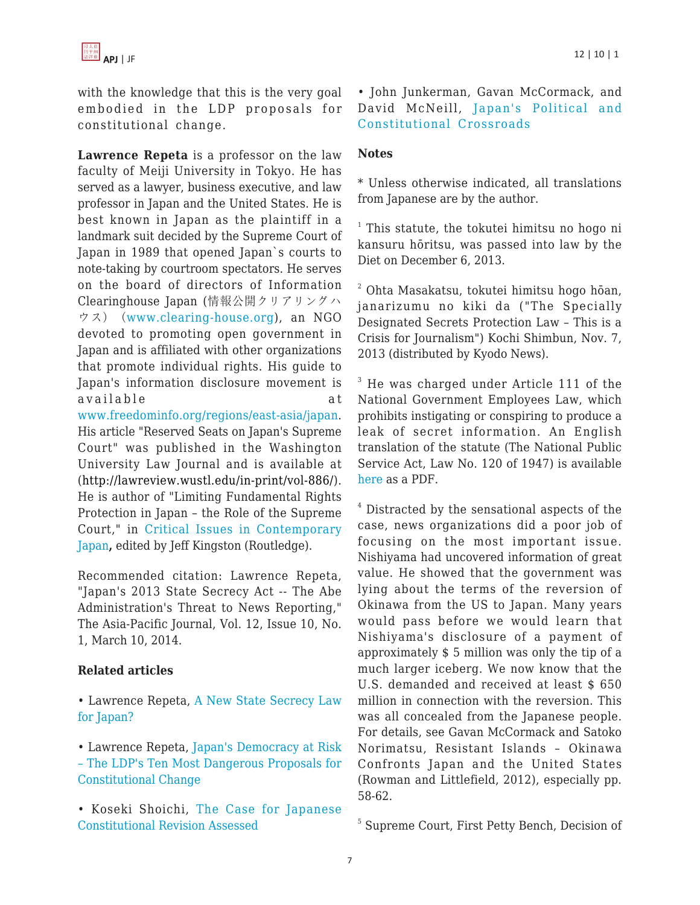with the knowledge that this is the very goal embodied in the LDP proposals for constitutional change.

**Lawrence Repeta** is a professor on the law faculty of Meiji University in Tokyo. He has served as a lawyer, business executive, and law professor in Japan and the United States. He is best known in Japan as the plaintiff in a landmark suit decided by the Supreme Court of Japan in 1989 that opened Japan`s courts to note-taking by courtroom spectators. He serves on the board of directors of Information Clearinghouse Japan (情報公開クリアリングハ ウス) ([www.clearing-house.org\)](http://www.clearing-house.org/), an NGO devoted to promoting open government in Japan and is affiliated with other organizations that promote individual rights. His guide to Japan's information disclosure movement is available at [www.freedominfo.org/regions/east-asia/japan.](http://www.freedominfo.org/regions/east-asia/japan)

His article "Reserved Seats on Japan's Supreme Court" was published in the Washington University Law Journal and is available at ([http://lawreview.wustl.edu/in-print/vol-886/\)](http://lawreview.wustl.edu/in-print/vol-886/). He is author of "Limiting Fundamental Rights Protection in Japan – the Role of the Supreme Court," in [Critical Issues in Contemporary](http://amzn.com/0415857457/?tag=theasipacjo0b-20) [Japan](http://amzn.com/0415857457/?tag=theasipacjo0b-20)**,** edited by Jeff Kingston (Routledge).

Recommended citation: Lawrence Repeta, "Japan's 2013 State Secrecy Act -- The Abe Administration's Threat to News Reporting," The Asia-Pacific Journal, Vol. 12, Issue 10, No. 1, March 10, 2014.

## **Related articles**

- Lawrence Repeta, [A New State Secrecy Law](https://apjjf.org/-Lawrence-Repeta/4011) [for Japan?](https://apjjf.org/-Lawrence-Repeta/4011)
- Lawrence Repeta, [Japan's Democracy at Risk](http://www.japanfocus.org/-Lawrence-Repeta/3969) [– The LDP's Ten Most Dangerous Proposals for](http://www.japanfocus.org/-Lawrence-Repeta/3969) [Constitutional Change](http://www.japanfocus.org/-Lawrence-Repeta/3969)
- Koseki Shoichi, [The Case for Japanese](http://www.japanfocus.org/-Koseki-Shoichi/2289) [Constitutional Revision Assessed](http://www.japanfocus.org/-Koseki-Shoichi/2289)

• John Junkerman, Gavan McCormack, and David McNeill, [Japan's Political and](http://www.japanfocus.org/-John-Junkerman/2175) [Constitutional Crossroads](http://www.japanfocus.org/-John-Junkerman/2175)

## **Notes**

\* Unless otherwise indicated, all translations from Japanese are by the author.

<sup>1</sup> This statute, the tokutei himitsu no hogo ni kansuru hōritsu, was passed into law by the Diet on December 6, 2013.

 $2$  Ohta Masakatsu, tokutei himitsu hogo hōan, janarizumu no kiki da ("The Specially Designated Secrets Protection Law – This is a Crisis for Journalism") Kochi Shimbun, Nov. 7, 2013 (distributed by Kyodo News).

 $3$  He was charged under Article 111 of the National Government Employees Law, which prohibits instigating or conspiring to produce a leak of secret information. An English translation of the statute (The National Public Service Act, Law No. 120 of 1947) is available [here](http://ssl.jinji.go.jp/en/recomme/rl_npsa.pdf) as a PDF.

<sup>4</sup> Distracted by the sensational aspects of the case, news organizations did a poor job of focusing on the most important issue. Nishiyama had uncovered information of great value. He showed that the government was lying about the terms of the reversion of Okinawa from the US to Japan. Many years would pass before we would learn that Nishiyama's disclosure of a payment of approximately \$ 5 million was only the tip of a much larger iceberg. We now know that the U.S. demanded and received at least \$ 650 million in connection with the reversion. This was all concealed from the Japanese people. For details, see Gavan McCormack and Satoko Norimatsu, Resistant Islands – Okinawa Confronts Japan and the United States (Rowman and Littlefield, 2012), especially pp. 58-62.

5 Supreme Court, First Petty Bench, Decision of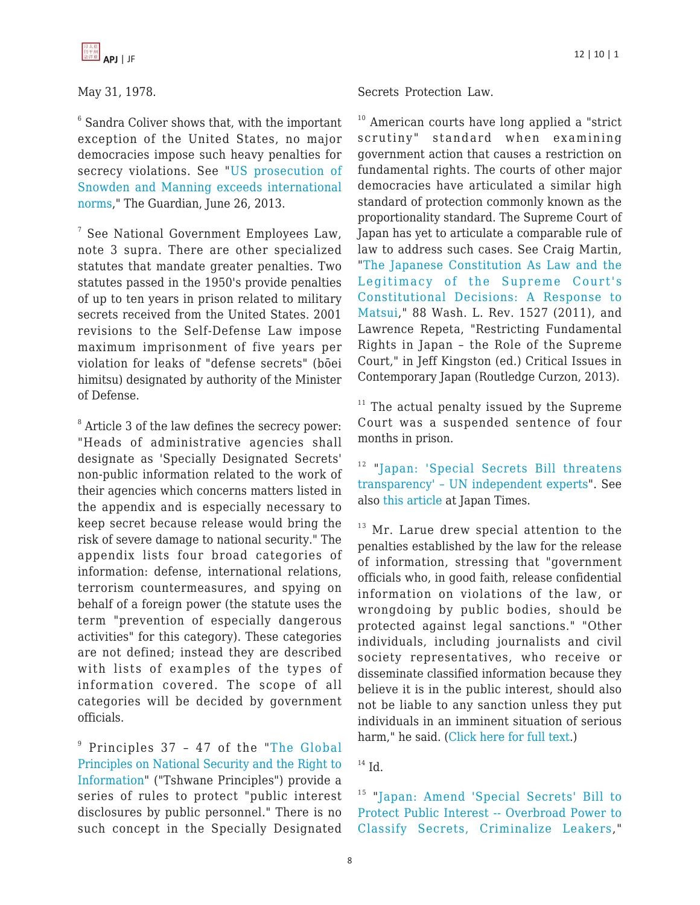

#### May 31, 1978.

 $6$  Sandra Coliver shows that, with the important exception of the United States, no major democracies impose such heavy penalties for secrecy violations. See "[US prosecution of](http://www.theguardian.com/commentisfree/2013/jun/26/edward-snowden-espionage-act-charges) [Snowden and Manning exceeds international](http://www.theguardian.com/commentisfree/2013/jun/26/edward-snowden-espionage-act-charges) [norms](http://www.theguardian.com/commentisfree/2013/jun/26/edward-snowden-espionage-act-charges)," The Guardian, June 26, 2013.

7 See National Government Employees Law, note 3 supra. There are other specialized statutes that mandate greater penalties. Two statutes passed in the 1950's provide penalties of up to ten years in prison related to military secrets received from the United States. 2001 revisions to the Self-Defense Law impose maximum imprisonment of five years per violation for leaks of "defense secrets" (bōei himitsu) designated by authority of the Minister of Defense.

<sup>8</sup> Article 3 of the law defines the secrecy power: "Heads of administrative agencies shall designate as 'Specially Designated Secrets' non-public information related to the work of their agencies which concerns matters listed in the appendix and is especially necessary to keep secret because release would bring the risk of severe damage to national security." The appendix lists four broad categories of information: defense, international relations, terrorism countermeasures, and spying on behalf of a foreign power (the statute uses the term "prevention of especially dangerous activities" for this category). These categories are not defined; instead they are described with lists of examples of the types of information covered. The scope of all categories will be decided by government officials.

9 Principles 37 – 47 of the "[The Global](http://www.opensocietyfoundations.org/publications/global-principles-national-security-and-freedom-information-tshwane-principles) [Principles on National Security and the Right to](http://www.opensocietyfoundations.org/publications/global-principles-national-security-and-freedom-information-tshwane-principles) [Information](http://www.opensocietyfoundations.org/publications/global-principles-national-security-and-freedom-information-tshwane-principles)" ("Tshwane Principles") provide a series of rules to protect "public interest disclosures by public personnel." There is no such concept in the Specially Designated

#### Secrets Protection Law.

<sup>10</sup> American courts have long applied a "strict" scrutiny" standard when examining government action that causes a restriction on fundamental rights. The courts of other major democracies have articulated a similar high standard of protection commonly known as the proportionality standard. The Supreme Court of Japan has yet to articulate a comparable rule of law to address such cases. See Craig Martin, "[The Japanese Constitution As Law and the](http://digitalcommons.law.wustl.edu/lawreview/vol88/iss6/7/) [Legitimacy of the Supreme Court's](http://digitalcommons.law.wustl.edu/lawreview/vol88/iss6/7/) [Constitutional Decisions: A Response to](http://digitalcommons.law.wustl.edu/lawreview/vol88/iss6/7/) [Matsui](http://digitalcommons.law.wustl.edu/lawreview/vol88/iss6/7/)," 88 Wash. L. Rev. 1527 (2011), and Lawrence Repeta, "Restricting Fundamental Rights in Japan – the Role of the Supreme Court," in Jeff Kingston (ed.) Critical Issues in Contemporary Japan (Routledge Curzon, 2013).

 $11$  The actual penalty issued by the Supreme Court was a suspended sentence of four months in prison.

<sup>12</sup> "[Japan: 'Special Secrets Bill threatens](http://www.ohchr.org/EN/NewsEvents/Pages/DisplayNews.aspx?NewsID=14017&LangID=E) [transparency' – UN independent experts"](http://www.ohchr.org/EN/NewsEvents/Pages/DisplayNews.aspx?NewsID=14017&LangID=E). See also [this article](http://www.japantimes.co.jp/news/2013/12/03/national/u-n-human-rights-chief-joins-chorus-urging-secrecy-law-safeguards/#.UtJHyGQW1Kk) at Japan Times.

 $13$  Mr. Larue drew special attention to the penalties established by the law for the release of information, stressing that "government officials who, in good faith, release confidential information on violations of the law, or wrongdoing by public bodies, should be protected against legal sanctions." "Other individuals, including journalists and civil society representatives, who receive or disseminate classified information because they believe it is in the public interest, should also not be liable to any sanction unless they put individuals in an imminent situation of serious harm," he said. ([Click here for full text](http://www.ohchr.org/EN/NewsEvents/Pages/DisplayNews.aspx?NewsID=14017&LangID=E).)

 $14$  Id.

<sup>15</sup> "[Japan: Amend 'Special Secrets' Bill to](http://www.hrw.org/news/2013/11/25/japan-amend-special-secrets-bill-protect-public-interest) [Protect Public Interest -- Overbroad Power to](http://www.hrw.org/news/2013/11/25/japan-amend-special-secrets-bill-protect-public-interest) [Classify Secrets, Criminalize Leakers,](http://www.hrw.org/news/2013/11/25/japan-amend-special-secrets-bill-protect-public-interest)"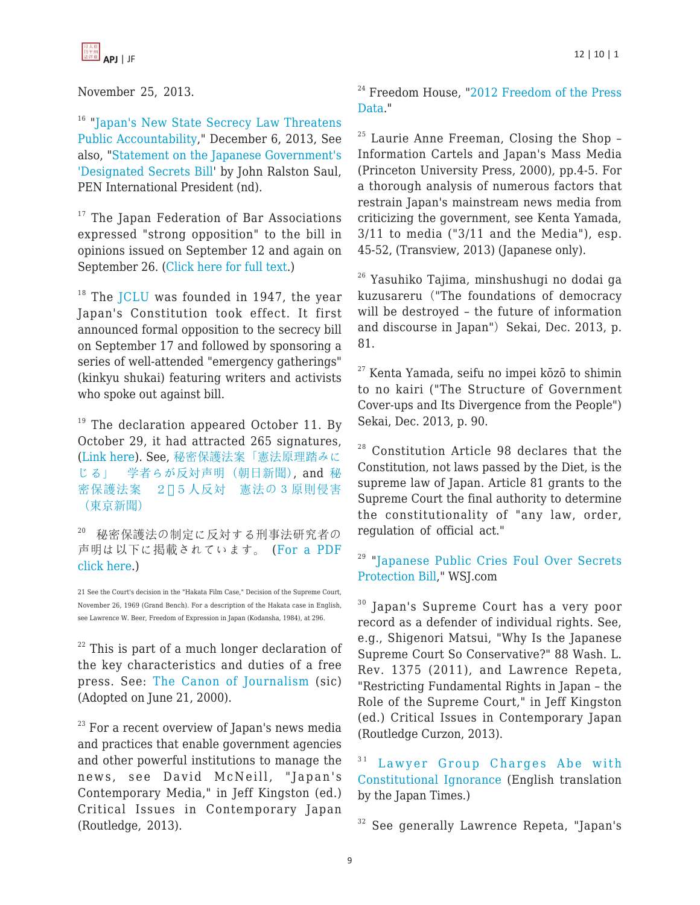

November 25, 2013.

<sup>16</sup> "[Japan's New State Secrecy Law Threatens](http://www.opensocietyfoundations.org/press-releases/japans-new-state-secrecy-law-threatens-public-accountability) [Public Accountability](http://www.opensocietyfoundations.org/press-releases/japans-new-state-secrecy-law-threatens-public-accountability)," December 6, 2013, See also, "[Statement on the Japanese Government's](http://www.pen-international.org/newsitems/statement-on-the-japanese-governments-designated-secrets-bill-by-john-ralston-saul-pen-international-president/) ['Designated Secrets Bill](http://www.pen-international.org/newsitems/statement-on-the-japanese-governments-designated-secrets-bill-by-john-ralston-saul-pen-international-president/)' by John Ralston Saul, PEN International President (nd).

 $17$  The Japan Federation of Bar Associations expressed "strong opposition" to the bill in opinions issued on September 12 and again on September 26. [\(Click here for full text](http://www.nichibenren.or.jp/news/year/2013.html).)

 $18$  The [JCLU](http://www.jclu.org) was founded in 1947, the year Japan's Constitution took effect. It first announced formal opposition to the secrecy bill on September 17 and followed by sponsoring a series of well-attended "emergency gatherings" (kinkyu shukai) featuring writers and activists who spoke out against bill.

 $19$  The declaration appeared October 11. By October 29, it had attracted 265 signatures, ([Link here\)](http://blog.goo.ne.jp/liveinpeace_925/e/2801775253d3d00f630fd94d3168c4be). See, [秘密保護法案](http://www.asahi.com/articles/TKY201310280264.html)[「](http://www.asahi.com/articles/TKY201310280264.html)[憲法原理踏みに](http://www.asahi.com/articles/TKY201310280264.html) [じる](http://www.asahi.com/articles/TKY201310280264.html)[」](http://www.asahi.com/articles/TKY201310280264.html) [学者らが反対声明](http://www.asahi.com/articles/TKY201310280264.html)[\(](http://www.asahi.com/articles/TKY201310280264.html)[朝日新聞\)](http://www.asahi.com/articles/TKY201310280264.html), and [秘](http://www.tokyo-np.co.jp/article/politics/news/CK2013102902000154.html) [密保護法案](http://www.tokyo-np.co.jp/article/politics/news/CK2013102902000154.html) [2](http://www.tokyo-np.co.jp/article/politics/news/CK2013102902000154.html)0[5](http://www.tokyo-np.co.jp/article/politics/news/CK2013102902000154.html)[人反対](http://www.tokyo-np.co.jp/article/politics/news/CK2013102902000154.html) [憲法の3原則侵害](http://www.tokyo-np.co.jp/article/politics/news/CK2013102902000154.html) [\(](http://www.tokyo-np.co.jp/article/politics/news/CK2013102902000154.html)[東京新聞](http://www.tokyo-np.co.jp/article/politics/news/CK2013102902000154.html)[\)](http://www.tokyo-np.co.jp/article/politics/news/CK2013102902000154.html)

20 秘密保護法の制定に反対する刑事法研究者の 声明は以下に掲載されています。 ([For a PDF](http://www.ourplanet-tv.org/files/131029keiji.pdf) [click here](http://www.ourplanet-tv.org/files/131029keiji.pdf).)

21 See the Court's decision in the "Hakata Film Case," Decision of the Supreme Court, November 26, 1969 (Grand Bench). For a description of the Hakata case in English, see Lawrence W. Beer, Freedom of Expression in Japan (Kodansha, 1984), at 296.

 $22$  This is part of a much longer declaration of the key characteristics and duties of a free press. See: [The Canon of Journalism](http://www.pressnet.or.jp/english/about/canon/) (sic) (Adopted on June 21, 2000).

 $23$  For a recent overview of Japan's news media and practices that enable government agencies and other powerful institutions to manage the news, see David McNeill, "Japan's Contemporary Media," in Jeff Kingston (ed.) Critical Issues in Contemporary Japan (Routledge, 2013).

 $24$  Freedom House, "[2012 Freedom of the Press](http://www.freedomhouse.org/report-types/freedom-press/2012/japan) [Data.](http://www.freedomhouse.org/report-types/freedom-press/2012/japan)"

 $25$  Laurie Anne Freeman, Closing the Shop -Information Cartels and Japan's Mass Media (Princeton University Press, 2000), pp.4-5. For a thorough analysis of numerous factors that restrain Japan's mainstream news media from criticizing the government, see Kenta Yamada, 3/11 to media ("3/11 and the Media"), esp. 45-52, (Transview, 2013) (Japanese only).

<sup>26</sup> Yasuhiko Tajima, minshushugi no dodai ga kuzusareru ("The foundations of democracy will be destroyed – the future of information and discourse in Japan") Sekai, Dec. 2013, p. 81.

 $27$  Kenta Yamada, seifu no impei kōzō to shimin to no kairi ("The Structure of Government Cover-ups and Its Divergence from the People") Sekai, Dec. 2013, p. 90.

<sup>28</sup> Constitution Article 98 declares that the Constitution, not laws passed by the Diet, is the supreme law of Japan. Article 81 grants to the Supreme Court the final authority to determine the constitutionality of "any law, order, regulation of official act."

<sup>29</sup> "[Japanese Public Cries Foul Over Secrets](http://blogs.wsj.com/japanrealtime/2013/10/10/japanese-public-cries-foul-over-secrets-protection-bill/) [Protection Bill,](http://blogs.wsj.com/japanrealtime/2013/10/10/japanese-public-cries-foul-over-secrets-protection-bill/)" WSJ.com

<sup>30</sup> Japan's Supreme Court has a very poor record as a defender of individual rights. See, e.g., Shigenori Matsui, "Why Is the Japanese Supreme Court So Conservative?" 88 Wash. L. Rev. 1375 (2011), and Lawrence Repeta, "Restricting Fundamental Rights in Japan – the Role of the Supreme Court," in Jeff Kingston (ed.) Critical Issues in Contemporary Japan (Routledge Curzon, 2013).

<sup>31</sup> [Lawyer Group Charges Abe with](http://www.japantimes.co.jp/news/2014/02/14/national/lawyer-group-charges-abe-with-constitutional-ignorance/#.UwL8nUKSx7E) [Constitutional Ignorance](http://www.japantimes.co.jp/news/2014/02/14/national/lawyer-group-charges-abe-with-constitutional-ignorance/#.UwL8nUKSx7E) (English translation by the Japan Times.)

<sup>32</sup> See generally Lawrence Repeta, "Japan's